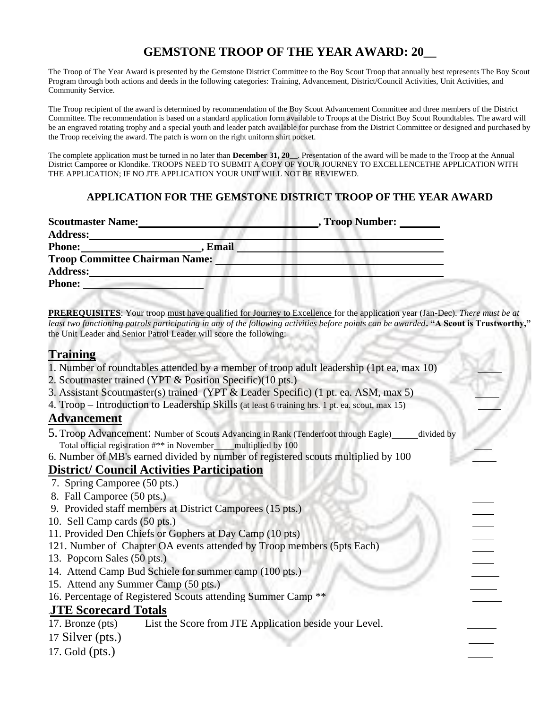# **GEMSTONE TROOP OF THE YEAR AWARD: 20\_\_**

The Troop of The Year Award is presented by the Gemstone District Committee to the Boy Scout Troop that annually best represents The Boy Scout Program through both actions and deeds in the following categories: Training, Advancement, District/Council Activities, Unit Activities, and Community Service.

The Troop recipient of the award is determined by recommendation of the Boy Scout Advancement Committee and three members of the District Committee. The recommendation is based on a standard application form available to Troops at the District Boy Scout Roundtables. The award will be an engraved rotating trophy and a special youth and leader patch available for purchase from the District Committee or designed and purchased by the Troop receiving the award. The patch is worn on the right uniform shirt pocket.

The complete application must be turned in no later than **December 31, 20\_\_**. Presentation of the award will be made to the Troop at the Annual District Camporee or Klondike. TROOPS NEED TO SUBMIT A COPY OF YOUR JOURNEY TO EXCELLENCETHE APPLICATION WITH THE APPLICATION; IF NO JTE APPLICATION YOUR UNIT WILL NOT BE REVIEWED.

#### **APPLICATION FOR THE GEMSTONE DISTRICT TROOP OF THE YEAR AWARD** ..

| <b>Scoutmaster Name:</b>              | , Troop Number: |
|---------------------------------------|-----------------|
| <b>Address:</b>                       |                 |
| <b>Email</b><br><b>Phone:</b>         |                 |
| <b>Troop Committee Chairman Name:</b> |                 |
| <b>Address:</b>                       |                 |
| <b>Phone:</b>                         |                 |

**PREREQUISITES**: Your troop must have qualified for Journey to Excellence for the application year (Jan-Dec). *There must be at least two functioning patrols participating in any of the following activities before points can be awarded***. "A Scout is Trustworthy,"** the Unit Leader and Senior Patrol Leader will score the following:

#### **Training**

- 1. Number of roundtables attended by a member of troop adult leadership (1pt ea, max 10)
- 2. Scoutmaster trained (YPT & Position Specific)(10 pts.)
- 3. Assistant Scoutmaster(s) trained (YPT & Leader Specific) (1 pt. ea. ASM, max 5)
- 4. Troop Introduction to Leadership Skills (at least 6 training hrs. 1 pt. ea. scout, max 15)

## **Advancement**

- 5. Troop Advancement: Number of Scouts Advancing in Rank (Tenderfoot through Eagle) divided by Total official registration #\*\* in November multiplied by 100
- 6. Number of MB's earned divided by number of registered scouts multiplied by 100

## **District/ Council Activities Participation**

- 7. Spring Camporee (50 pts.)
- 8. Fall Camporee (50 pts.)
- 9. Provided staff members at District Camporees (15 pts.)
- 10. Sell Camp cards (50 pts.)
- 11. Provided Den Chiefs or Gophers at Day Camp (10 pts)
- 121. Number of Chapter OA events attended by Troop members (5pts Each)
- 13. Popcorn Sales (50 pts.)
- 14. Attend Camp Bud Schiele for summer camp (100 pts.)
- 15. Attend any Summer Camp (50 pts.)
- 16. Percentage of Registered Scouts attending Summer Camp \*\*

## .**JTE Scorecard Totals**

- 17. Bronze (pts) List the Score from JTE Application beside your Level.
- 17 Silver (pts.)
- 17. Gold (pts.)